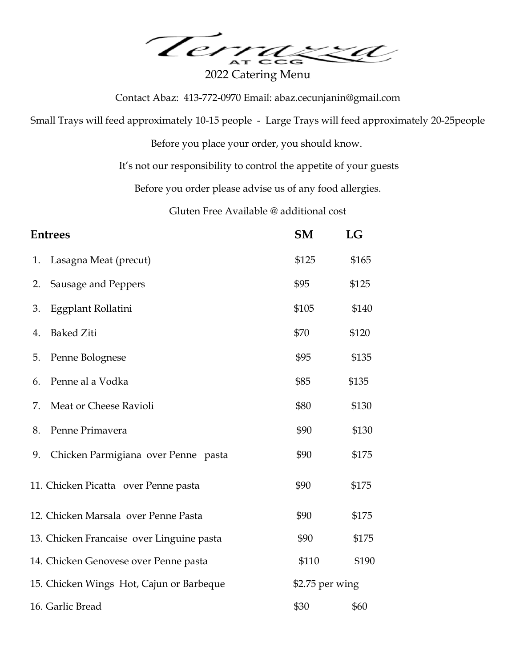Terra za

2022 Catering Menu

Contact Abaz: 413-772-0970 Email: abaz.cecunjanin@gmail.com

Small Trays will feed approximately 10-15 people - Large Trays will feed approximately 20-25people

Before you place your order, you should know.

It's not our responsibility to control the appetite of your guests

Before you order please advise us of any food allergies.

Gluten Free Available @ additional cost

| <b>Entrees</b> |                                           | <b>SM</b>        | LG    |
|----------------|-------------------------------------------|------------------|-------|
| 1.             | Lasagna Meat (precut)                     | \$125            | \$165 |
| 2.             | Sausage and Peppers                       | \$95             | \$125 |
| 3.             | Eggplant Rollatini                        | \$105            | \$140 |
| 4.             | <b>Baked Ziti</b>                         | \$70             | \$120 |
| 5.             | Penne Bolognese                           | \$95             | \$135 |
| 6.             | Penne al a Vodka                          | \$85             | \$135 |
| 7.             | Meat or Cheese Ravioli                    | \$80             | \$130 |
| 8.             | Penne Primavera                           | \$90             | \$130 |
| 9.             | Chicken Parmigiana over Penne pasta       | \$90             | \$175 |
|                | 11. Chicken Picatta over Penne pasta      | \$90             | \$175 |
|                | 12. Chicken Marsala over Penne Pasta      | \$90             | \$175 |
|                | 13. Chicken Francaise over Linguine pasta | \$90             | \$175 |
|                | 14. Chicken Genovese over Penne pasta     | \$110            | \$190 |
|                | 15. Chicken Wings Hot, Cajun or Barbeque  | $$2.75$ per wing |       |
|                | 16. Garlic Bread                          | \$30             | \$60  |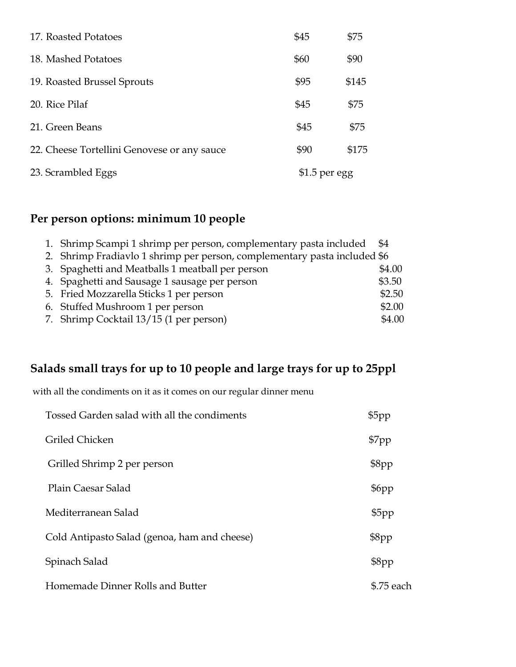| 17. Roasted Potatoes                        | \$45           | \$75  |
|---------------------------------------------|----------------|-------|
| 18. Mashed Potatoes                         | \$60           | \$90  |
| 19. Roasted Brussel Sprouts                 | \$95           | \$145 |
| 20. Rice Pilaf                              | \$45           | \$75  |
| 21. Green Beans                             | \$45           | \$75  |
| 22. Cheese Tortellini Genovese or any sauce | \$90           | \$175 |
| 23. Scrambled Eggs                          | $$1.5$ per egg |       |

# **Per person options: minimum 10 people**

| 1. Shrimp Scampi 1 shrimp per person, complementary pasta included \$4    |        |
|---------------------------------------------------------------------------|--------|
| 2. Shrimp Fradiavlo 1 shrimp per person, complementary pasta included \$6 |        |
| 3. Spaghetti and Meatballs 1 meatball per person                          | \$4.00 |
| 4. Spaghetti and Sausage 1 sausage per person                             | \$3.50 |
| 5. Fried Mozzarella Sticks 1 per person                                   | \$2.50 |
| 6. Stuffed Mushroom 1 per person                                          | \$2.00 |
| 7. Shrimp Cocktail 13/15 (1 per person)                                   | \$4.00 |

# **Salads small trays for up to 10 people and large trays for up to 25ppl**

with all the condiments on it as it comes on our regular dinner menu

| Tossed Garden salad with all the condiments  | \$5pp      |
|----------------------------------------------|------------|
| Griled Chicken                               | \$7pp      |
| Grilled Shrimp 2 per person                  | \$8pp      |
| Plain Caesar Salad                           | \$6pp      |
| Mediterranean Salad                          | \$5pp      |
| Cold Antipasto Salad (genoa, ham and cheese) | \$8pp      |
| Spinach Salad                                | \$8pp      |
| Homemade Dinner Rolls and Butter             | \$.75 each |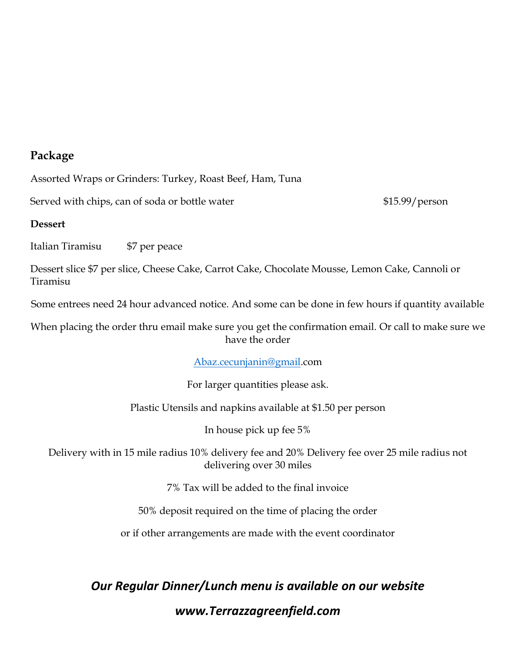### **Package**

Assorted Wraps or Grinders: Turkey, Roast Beef, Ham, Tuna

Served with chips, can of soda or bottle water  $$15.99/$  person

#### **Dessert**

Italian Tiramisu \$7 per peace

Dessert slice \$7 per slice, Cheese Cake, Carrot Cake, Chocolate Mousse, Lemon Cake, Cannoli or Tiramisu

Some entrees need 24 hour advanced notice. And some can be done in few hours if quantity available

When placing the order thru email make sure you get the confirmation email. Or call to make sure we have the order

[Abaz.cecunjanin@gmail.](mailto:Abaz.cecunjanin@gmail)com

For larger quantities please ask.

Plastic Utensils and napkins available at \$1.50 per person

In house pick up fee 5%

Delivery with in 15 mile radius 10% delivery fee and 20% Delivery fee over 25 mile radius not delivering over 30 miles

7% Tax will be added to the final invoice

50% deposit required on the time of placing the order

or if other arrangements are made with the event coordinator

*Our Regular Dinner/Lunch menu is available on our website www.Terrazzagreenfield.com*